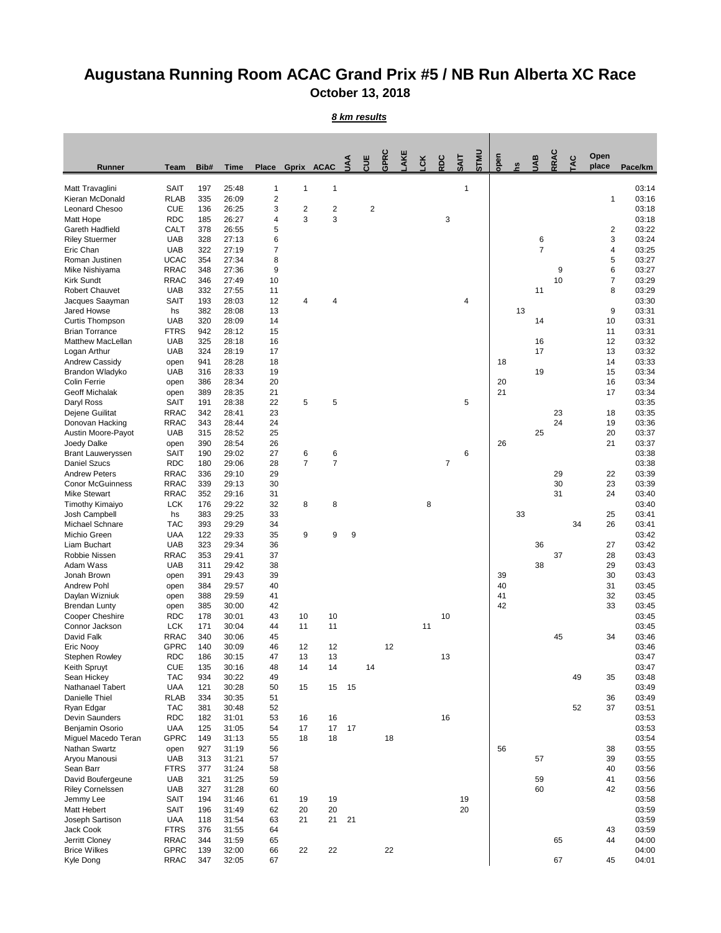## **Augustana Running Room ACAC Grand Prix #5 / NB Run Alberta XC Race October 13, 2018**

## *8 km results*

| <b>Runner</b>                              | <b>Team</b>                | Bib#       | <b>Time</b>    | <b>Place</b>   |                | Gprix ACAC     | $\leq$ | CUE            | GPRC | AKE | LCK | RDC            | <b>SAIT</b> | <b>UNLS</b> | open     | <u>ვ</u> | UAB            | RRAC | <b>TAC</b> | Open<br>place | Pace/km        |
|--------------------------------------------|----------------------------|------------|----------------|----------------|----------------|----------------|--------|----------------|------|-----|-----|----------------|-------------|-------------|----------|----------|----------------|------|------------|---------------|----------------|
| Matt Travaglini                            | <b>SAIT</b>                | 197        | 25:48          | $\mathbf 1$    | 1              | 1              |        |                |      |     |     |                | 1           |             |          |          |                |      |            |               | 03:14          |
| Kieran McDonald                            | <b>RLAB</b>                | 335        | 26:09          | 2              |                |                |        |                |      |     |     |                |             |             |          |          |                |      |            | 1             | 03:16          |
| Leonard Chesoo                             | <b>CUE</b>                 | 136        | 26:25          | 3              | $\overline{2}$ | 2              |        | $\overline{2}$ |      |     |     |                |             |             |          |          |                |      |            |               | 03:18          |
| Matt Hope<br><b>Gareth Hadfield</b>        | <b>RDC</b>                 | 185        | 26:27          | 4              | 3              | 3              |        |                |      |     |     | 3              |             |             |          |          |                |      |            |               | 03:18          |
| <b>Riley Stuermer</b>                      | <b>CALT</b><br><b>UAB</b>  | 378<br>328 | 26:55<br>27:13 | 5<br>6         |                |                |        |                |      |     |     |                |             |             |          |          | 6              |      |            | 2<br>3        | 03:22<br>03:24 |
| Eric Chan                                  | <b>UAB</b>                 | 322        | 27:19          | $\overline{7}$ |                |                |        |                |      |     |     |                |             |             |          |          | $\overline{7}$ |      |            | 4             | 03:25          |
| Roman Justinen                             | <b>UCAC</b>                | 354        | 27:34          | 8              |                |                |        |                |      |     |     |                |             |             |          |          |                |      |            | 5             | 03:27          |
| Mike Nishiyama                             | <b>RRAC</b>                | 348        | 27:36          | 9              |                |                |        |                |      |     |     |                |             |             |          |          |                | 9    |            | 6             | 03:27          |
| <b>Kirk Sundt</b><br><b>Robert Chauvet</b> | <b>RRAC</b><br><b>UAB</b>  | 346<br>332 | 27:49<br>27:55 | 10<br>11       |                |                |        |                |      |     |     |                |             |             |          |          | 11             | 10   |            | 7             | 03:29<br>03:29 |
| Jacques Saayman                            | <b>SAIT</b>                | 193        | 28:03          | 12             | 4              | 4              |        |                |      |     |     |                | 4           |             |          |          |                |      |            | 8             | 03:30          |
| Jared Howse                                | hs                         | 382        | 28:08          | 13             |                |                |        |                |      |     |     |                |             |             |          | 13       |                |      |            | 9             | 03:31          |
| <b>Curtis Thompson</b>                     | <b>UAB</b>                 | 320        | 28:09          | 14             |                |                |        |                |      |     |     |                |             |             |          |          | 14             |      |            | 10            | 03:31          |
| <b>Brian Torrance</b>                      | <b>FTRS</b>                | 942        | 28:12          | 15             |                |                |        |                |      |     |     |                |             |             |          |          |                |      |            | 11            | 03:31          |
| <b>Matthew MacLellan</b>                   | <b>UAB</b>                 | 325        | 28:18          | 16             |                |                |        |                |      |     |     |                |             |             |          |          | 16             |      |            | 12            | 03:32          |
| Logan Arthur<br>Andrew Cassidy             | <b>UAB</b>                 | 324<br>941 | 28:19<br>28:28 | 17<br>18       |                |                |        |                |      |     |     |                |             |             | 18       |          | 17             |      |            | 13<br>14      | 03:32<br>03:33 |
| Brandon Wladyko                            | open<br><b>UAB</b>         | 316        | 28:33          | 19             |                |                |        |                |      |     |     |                |             |             |          |          | 19             |      |            | 15            | 03:34          |
| <b>Colin Ferrie</b>                        | open                       | 386        | 28:34          | 20             |                |                |        |                |      |     |     |                |             |             | 20       |          |                |      |            | 16            | 03:34          |
| <b>Geoff Michalak</b>                      | open                       | 389        | 28:35          | 21             |                |                |        |                |      |     |     |                |             |             | 21       |          |                |      |            | 17            | 03:34          |
| Daryl Ross                                 | <b>SAIT</b>                | 191        | 28:38          | 22             | 5              | 5              |        |                |      |     |     |                | 5           |             |          |          |                |      |            |               | 03:35          |
| Dejene Guilitat                            | <b>RRAC</b>                | 342        | 28:41          | 23             |                |                |        |                |      |     |     |                |             |             |          |          |                | 23   |            | 18            | 03:35          |
| Donovan Hacking                            | <b>RRAC</b>                | 343        | 28:44          | 24             |                |                |        |                |      |     |     |                |             |             |          |          |                | 24   |            | 19            | 03:36          |
| Austin Moore-Payot<br>Joedy Dalke          | <b>UAB</b><br>open         | 315<br>390 | 28:52<br>28:54 | 25<br>26       |                |                |        |                |      |     |     |                |             |             | 26       |          | 25             |      |            | 20<br>21      | 03:37<br>03:37 |
| <b>Brant Lauweryssen</b>                   | <b>SAIT</b>                | 190        | 29:02          | 27             | 6              | 6              |        |                |      |     |     |                | 6           |             |          |          |                |      |            |               | 03:38          |
| <b>Daniel Szucs</b>                        | <b>RDC</b>                 | 180        | 29:06          | 28             | $\overline{7}$ | $\overline{7}$ |        |                |      |     |     | $\overline{7}$ |             |             |          |          |                |      |            |               | 03:38          |
| <b>Andrew Peters</b>                       | <b>RRAC</b>                | 336        | 29:10          | 29             |                |                |        |                |      |     |     |                |             |             |          |          |                | 29   |            | 22            | 03:39          |
| <b>Conor McGuinness</b>                    | <b>RRAC</b>                | 339        | 29:13          | 30             |                |                |        |                |      |     |     |                |             |             |          |          |                | 30   |            | 23            | 03:39          |
| <b>Mike Stewart</b>                        | <b>RRAC</b>                | 352        | 29:16          | 31             |                |                |        |                |      |     |     |                |             |             |          |          |                | 31   |            | 24            | 03:40          |
| <b>Timothy Kimaiyo</b><br>Josh Campbell    | <b>LCK</b><br>hs           | 176<br>383 | 29:22<br>29:25 | 32<br>33       | 8              | 8              |        |                |      |     | 8   |                |             |             |          | 33       |                |      |            | 25            | 03:40<br>03:41 |
| Michael Schnare                            | <b>TAC</b>                 | 393        | 29:29          | 34             |                |                |        |                |      |     |     |                |             |             |          |          |                |      | 34         | 26            | 03:41          |
| Michio Green                               | <b>UAA</b>                 | 122        | 29:33          | 35             | 9              | 9              | 9      |                |      |     |     |                |             |             |          |          |                |      |            |               | 03:42          |
| Liam Buchart                               | <b>UAB</b>                 | 323        | 29:34          | 36             |                |                |        |                |      |     |     |                |             |             |          |          | 36             |      |            | 27            | 03:42          |
| Robbie Nissen                              | <b>RRAC</b>                | 353        | 29:41          | 37             |                |                |        |                |      |     |     |                |             |             |          |          |                | 37   |            | 28            | 03:43          |
| Adam Wass                                  | <b>UAB</b>                 | 311        | 29:42          | 38             |                |                |        |                |      |     |     |                |             |             |          |          | 38             |      |            | 29            | 03:43          |
| Jonah Brown<br><b>Andrew Pohl</b>          | open                       | 391<br>384 | 29:43<br>29:57 | 39<br>40       |                |                |        |                |      |     |     |                |             |             | 39<br>40 |          |                |      |            | 30<br>31      | 03:43<br>03:45 |
| Daylan Wizniuk                             | open<br>open               | 388        | 29:59          | 41             |                |                |        |                |      |     |     |                |             |             | 41       |          |                |      |            | 32            | 03:45          |
| <b>Brendan Lunty</b>                       | open                       | 385        | 30:00          | 42             |                |                |        |                |      |     |     |                |             |             | 42       |          |                |      |            | 33            | 03:45          |
| <b>Cooper Cheshire</b>                     | <b>RDC</b>                 | 178        | 30:01          | 43             | 10             | 10             |        |                |      |     |     | 10             |             |             |          |          |                |      |            |               | 03:45          |
| Connor Jackson                             | <b>LCK</b>                 | 171        | 30:04          | 44             | 11             | 11             |        |                |      |     | 11  |                |             |             |          |          |                |      |            |               | 03:45          |
| David Falk                                 | <b>RRAC</b>                | 340        | 30:06          | 45             |                |                |        |                |      |     |     |                |             |             |          |          |                | 45   |            | 34            | 03:46          |
| Eric Nooy                                  | <b>GPRC</b><br><b>RDC</b>  | 140<br>186 | 30:09<br>30:15 | 46<br>47       | 12<br>13       | 12<br>13       |        |                | 12   |     |     | 13             |             |             |          |          |                |      |            |               | 03:46<br>03:47 |
| <b>Stephen Rowley</b><br>Keith Spruyt      | <b>CUE</b>                 | 135        | 30:16          | 48             | 14             | 14             |        | 14             |      |     |     |                |             |             |          |          |                |      |            |               | 03:47          |
| Sean Hickey                                | <b>TAC</b>                 | 934        | 30:22          | 49             |                |                |        |                |      |     |     |                |             |             |          |          |                |      | 49         | 35            | 03:48          |
| Nathanael Tabert                           | <b>UAA</b>                 | 121        | 30:28          | 50             | 15             | 15             | 15     |                |      |     |     |                |             |             |          |          |                |      |            |               | 03:49          |
| Danielle Thiel                             | <b>RLAB</b>                | 334        | 30:35          | 51             |                |                |        |                |      |     |     |                |             |             |          |          |                |      |            | 36            | 03:49          |
| Ryan Edgar                                 | <b>TAC</b>                 | 381        | 30:48          | 52             |                |                |        |                |      |     |     |                |             |             |          |          |                |      | 52         | 37            | 03:51          |
| Devin Saunders                             | <b>RDC</b>                 | 182        | 31:01          | 53             | 16<br>17       | 16<br>17       |        |                |      |     |     | 16             |             |             |          |          |                |      |            |               | 03:53          |
| Benjamin Osorio<br>Miguel Macedo Teran     | <b>UAA</b><br><b>GPRC</b>  | 125<br>149 | 31:05<br>31:13 | 54<br>55       | 18             | 18             | 17     |                | 18   |     |     |                |             |             |          |          |                |      |            |               | 03:53<br>03:54 |
| Nathan Swartz                              | open                       | 927        | 31:19          | 56             |                |                |        |                |      |     |     |                |             |             | 56       |          |                |      |            | 38            | 03:55          |
| Aryou Manousi                              | <b>UAB</b>                 | 313        | 31:21          | 57             |                |                |        |                |      |     |     |                |             |             |          |          | 57             |      |            | 39            | 03:55          |
| Sean Barr                                  | <b>FTRS</b>                | 377        | 31:24          | 58             |                |                |        |                |      |     |     |                |             |             |          |          |                |      |            | 40            | 03:56          |
| David Boufergeune                          | <b>UAB</b>                 | 321        | 31:25          | 59             |                |                |        |                |      |     |     |                |             |             |          |          | 59             |      |            | 41            | 03:56          |
| <b>Riley Cornelssen</b>                    | <b>UAB</b>                 | 327        | 31:28          | 60             |                |                |        |                |      |     |     |                |             |             |          |          | 60             |      |            | 42            | 03:56          |
| Jemmy Lee<br><b>Matt Hebert</b>            | <b>SAIT</b><br><b>SAIT</b> | 194<br>196 | 31:46<br>31:49 | 61<br>62       | 19<br>20       | 19<br>20       |        |                |      |     |     |                | 19<br>20    |             |          |          |                |      |            |               | 03:58<br>03:59 |
| Joseph Sartison                            | <b>UAA</b>                 | 118        | 31:54          | 63             | 21             | 21             | 21     |                |      |     |     |                |             |             |          |          |                |      |            |               | 03:59          |
| Jack Cook                                  | <b>FTRS</b>                | 376        | 31:55          | 64             |                |                |        |                |      |     |     |                |             |             |          |          |                |      |            | 43            | 03:59          |
| Jerritt Cloney                             | <b>RRAC</b>                | 344        | 31:59          | 65             |                |                |        |                |      |     |     |                |             |             |          |          |                | 65   |            | 44            | 04:00          |
| <b>Brice Wilkes</b>                        | <b>GPRC</b>                | 139        | 32:00          | 66             | 22             | 22             |        |                | 22   |     |     |                |             |             |          |          |                |      |            |               | 04:00          |
| Kyle Dong                                  | <b>RRAC</b>                | 347        | 32:05          | 67             |                |                |        |                |      |     |     |                |             |             |          |          |                | 67   |            | 45            | 04:01          |